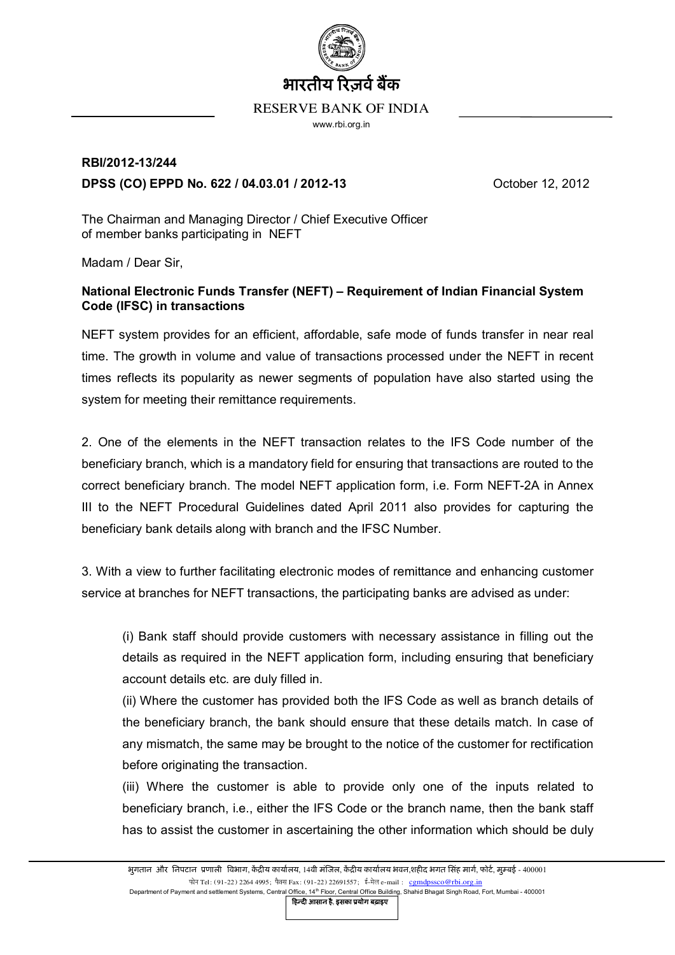

## RESERVE BANK OF INDIA

www.rbi.org.in

## **RBI/2012-13/244 DPSS (CO) EPPD No. 622 / 04.03.01 / 2012-13** October 12, 2012

The Chairman and Managing Director / Chief Executive Officer of member banks participating in NEFT

Madam / Dear Sir,

## **National Electronic Funds Transfer (NEFT) – Requirement of Indian Financial System Code (IFSC) in transactions**

NEFT system provides for an efficient, affordable, safe mode of funds transfer in near real time. The growth in volume and value of transactions processed under the NEFT in recent times reflects its popularity as newer segments of population have also started using the system for meeting their remittance requirements.

2. One of the elements in the NEFT transaction relates to the IFS Code number of the beneficiary branch, which is a mandatory field for ensuring that transactions are routed to the correct beneficiary branch. The model NEFT application form, i.e. Form NEFT-2A in Annex III to the NEFT Procedural Guidelines dated April 2011 also provides for capturing the beneficiary bank details along with branch and the IFSC Number.

3. With a view to further facilitating electronic modes of remittance and enhancing customer service at branches for NEFT transactions, the participating banks are advised as under:

(i) Bank staff should provide customers with necessary assistance in filling out the details as required in the NEFT application form, including ensuring that beneficiary account details etc. are duly filled in.

(ii) Where the customer has provided both the IFS Code as well as branch details of the beneficiary branch, the bank should ensure that these details match. In case of any mismatch, the same may be brought to the notice of the customer for rectification before originating the transaction.

(iii) Where the customer is able to provide only one of the inputs related to beneficiary branch, i.e., either the IFS Code or the branch name, then the bank staff has to assist the customer in ascertaining the other information which should be duly

Department of Payment and settlement Systems, Central Office, 14<sup>th</sup> Floor, Central Office Building, Shahid Bhagat Singh Road, Fort, Mumbai - 400001

हिल्दी आसान है, इसका प्रयोग बढ़ाइए